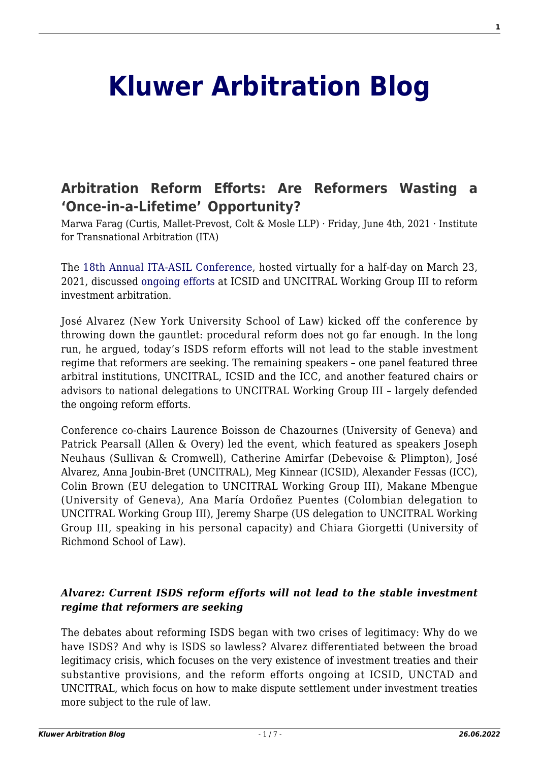# **[Kluwer Arbitration Blog](http://arbitrationblog.kluwerarbitration.com/)**

# **[Arbitration Reform Efforts: Are Reformers Wasting a](http://arbitrationblog.kluwerarbitration.com/2021/06/04/arbitration-reform-efforts-are-reformers-wasting-a-once-in-a-lifetime-opportunity/) ['Once-in-a-Lifetime' Opportunity?](http://arbitrationblog.kluwerarbitration.com/2021/06/04/arbitration-reform-efforts-are-reformers-wasting-a-once-in-a-lifetime-opportunity/)**

Marwa Farag (Curtis, Mallet-Prevost, Colt & Mosle LLP) · Friday, June 4th, 2021 · Institute for Transnational Arbitration (ITA)

The [18th Annual ITA-ASIL Conference,](https://www.cailaw.org/Institute-for-Transnational-Arbitration/Events/2021/ita-asil.html) hosted virtually for a half-day on March 23, 2021, discussed [ongoing efforts](http://arbitrationblog.kluwerarbitration.com/2020/08/05/arbitration-reform-efforts-continue-despite-pandemic/) at ICSID and UNCITRAL Working Group III to reform investment arbitration.

José Alvarez (New York University School of Law) kicked off the conference by throwing down the gauntlet: procedural reform does not go far enough. In the long run, he argued, today's ISDS reform efforts will not lead to the stable investment regime that reformers are seeking. The remaining speakers – one panel featured three arbitral institutions, UNCITRAL, ICSID and the ICC, and another featured chairs or advisors to national delegations to UNCITRAL Working Group III – largely defended the ongoing reform efforts.

Conference co-chairs Laurence Boisson de Chazournes (University of Geneva) and Patrick Pearsall (Allen & Overy) led the event, which featured as speakers Joseph Neuhaus (Sullivan & Cromwell), Catherine Amirfar (Debevoise & Plimpton), José Alvarez, Anna Joubin-Bret (UNCITRAL), Meg Kinnear (ICSID), Alexander Fessas (ICC), Colin Brown (EU delegation to UNCITRAL Working Group III), Makane Mbengue (University of Geneva), Ana María Ordoñez Puentes (Colombian delegation to UNCITRAL Working Group III), Jeremy Sharpe (US delegation to UNCITRAL Working Group III, speaking in his personal capacity) and Chiara Giorgetti (University of Richmond School of Law).

#### *Alvarez: Current ISDS reform efforts will not lead to the stable investment regime that reformers are seeking*

The debates about reforming ISDS began with two crises of legitimacy: Why do we have ISDS? And why is ISDS so lawless? Alvarez differentiated between the broad legitimacy crisis, which focuses on the very existence of investment treaties and their substantive provisions, and the reform efforts ongoing at ICSID, UNCTAD and UNCITRAL, which focus on how to make dispute settlement under investment treaties more subject to the rule of law.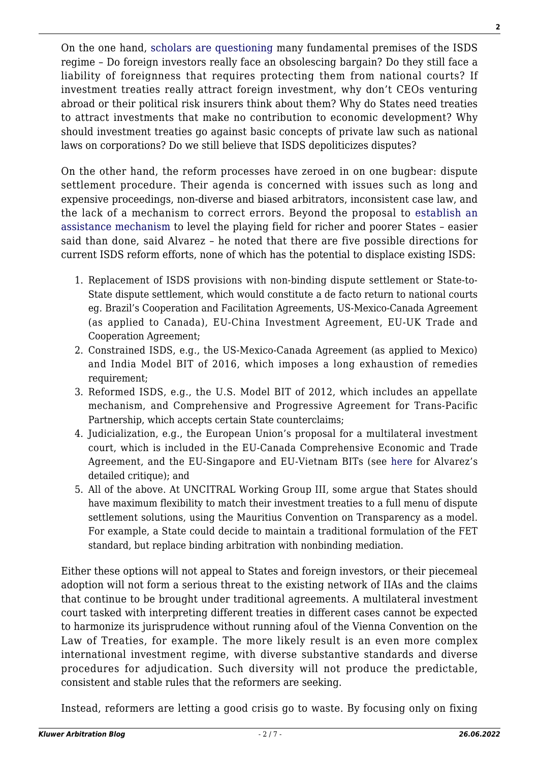On the one hand, [scholars](https://global.oup.com/academic/product/the-political-economy-of-the-investment-treaty-regime-9780198719557?cc=us&lang=en&) [are questioning](https://www.cambridge.org/core/journals/american-journal-of-international-law/article/private-law-critique-of-international-investment-law/935233DE8524D0CAECC4D94E36C56AED) many fundamental premises of the ISDS regime – Do foreign investors really face an obsolescing bargain? Do they still face a liability of foreignness that requires protecting them from national courts? If investment treaties really attract foreign investment, why don't CEOs venturing abroad or their political risk insurers think about them? Why do States need treaties to attract investments that make no contribution to economic development? Why should investment treaties go against basic concepts of private law such as national laws on corporations? Do we still believe that ISDS depoliticizes disputes?

On the other hand, the reform processes have zeroed in on one bugbear: dispute settlement procedure. Their agenda is concerned with issues such as long and expensive proceedings, non-diverse and biased arbitrators, inconsistent case law, and the lack of a mechanism to correct errors. Beyond the proposal to [establish an](https://uncitral.un.org/en/multilateraladvisorycentre) [assistance mechanism](https://uncitral.un.org/en/multilateraladvisorycentre) to level the playing field for richer and poorer States – easier said than done, said Alvarez – he noted that there are five possible directions for current ISDS reform efforts, none of which has the potential to displace existing ISDS:

- 1. Replacement of ISDS provisions with non-binding dispute settlement or State-to-State dispute settlement, which would constitute a de facto return to national courts eg. Brazil's Cooperation and Facilitation Agreements, US-Mexico-Canada Agreement (as applied to Canada), EU-China Investment Agreement, EU-UK Trade and Cooperation Agreement;
- 2. Constrained ISDS, e.g., the US-Mexico-Canada Agreement (as applied to Mexico) and India Model BIT of 2016, which imposes a long exhaustion of remedies requirement;
- 3. Reformed ISDS, e.g., the U.S. Model BIT of 2012, which includes an appellate mechanism, and Comprehensive and Progressive Agreement for Trans-Pacific Partnership, which accepts certain State counterclaims;
- 4. Judicialization, e.g., the European Union's proposal for a multilateral investment court, which is included in the EU-Canada Comprehensive Economic and Trade Agreement, and the EU-Singapore and EU-Vietnam BITs (see [here](https://www.iilj.org/publications/mythic-courts/) for Alvarez's detailed critique); and
- 5. All of the above. At UNCITRAL Working Group III, some argue that States should have maximum flexibility to match their investment treaties to a full menu of dispute settlement solutions, using the Mauritius Convention on Transparency as a model. For example, a State could decide to maintain a traditional formulation of the FET standard, but replace binding arbitration with nonbinding mediation.

Either these options will not appeal to States and foreign investors, or their piecemeal adoption will not form a serious threat to the existing network of IIAs and the claims that continue to be brought under traditional agreements. A multilateral investment court tasked with interpreting different treaties in different cases cannot be expected to harmonize its jurisprudence without running afoul of the Vienna Convention on the Law of Treaties, for example. The more likely result is an even more complex international investment regime, with diverse substantive standards and diverse procedures for adjudication. Such diversity will not produce the predictable, consistent and stable rules that the reformers are seeking.

Instead, reformers are letting a good crisis go to waste. By focusing only on fixing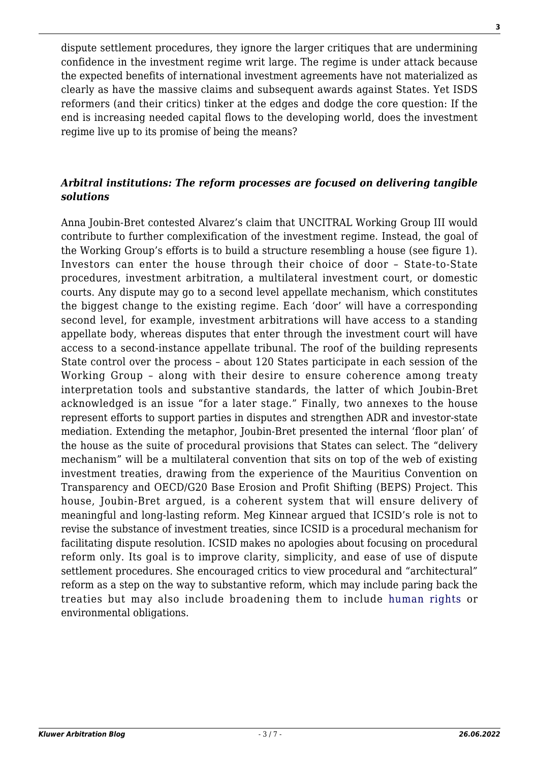dispute settlement procedures, they ignore the larger critiques that are undermining confidence in the investment regime writ large. The regime is under attack because the expected benefits of international investment agreements have not materialized as clearly as have the massive claims and subsequent awards against States. Yet ISDS reformers (and their critics) tinker at the edges and dodge the core question: If the end is increasing needed capital flows to the developing world, does the investment regime live up to its promise of being the means?

### *Arbitral institutions: The reform processes are focused on delivering tangible solutions*

Anna Joubin-Bret contested Alvarez's claim that UNCITRAL Working Group III would contribute to further complexification of the investment regime. Instead, the goal of the Working Group's efforts is to build a structure resembling a house (see figure 1). Investors can enter the house through their choice of door – State-to-State procedures, investment arbitration, a multilateral investment court, or domestic courts. Any dispute may go to a second level appellate mechanism, which constitutes the biggest change to the existing regime. Each 'door' will have a corresponding second level, for example, investment arbitrations will have access to a standing appellate body, whereas disputes that enter through the investment court will have access to a second-instance appellate tribunal. The roof of the building represents State control over the process – about 120 States participate in each session of the Working Group – along with their desire to ensure coherence among treaty interpretation tools and substantive standards, the latter of which Joubin-Bret acknowledged is an issue "for a later stage." Finally, two annexes to the house represent efforts to support parties in disputes and strengthen ADR and investor-state mediation. Extending the metaphor, Joubin-Bret presented the internal 'floor plan' of the house as the suite of procedural provisions that States can select. The "delivery mechanism" will be a multilateral convention that sits on top of the web of existing investment treaties, drawing from the experience of the Mauritius Convention on Transparency and OECD/G20 Base Erosion and Profit Shifting (BEPS) Project. This house, Joubin-Bret argued, is a coherent system that will ensure delivery of meaningful and long-lasting reform. Meg Kinnear argued that ICSID's role is not to revise the substance of investment treaties, since ICSID is a procedural mechanism for facilitating dispute resolution. ICSID makes no apologies about focusing on procedural reform only. Its goal is to improve clarity, simplicity, and ease of use of dispute settlement procedures. She encouraged critics to view procedural and "architectural" reform as a step on the way to substantive reform, which may include paring back the treaties but may also include broadening them to include [human rights](http://arbitrationblog.kluwerarbitration.com/2020/06/17/isds-reform-and-advancing-all-generations-of-human-rights/) or environmental obligations.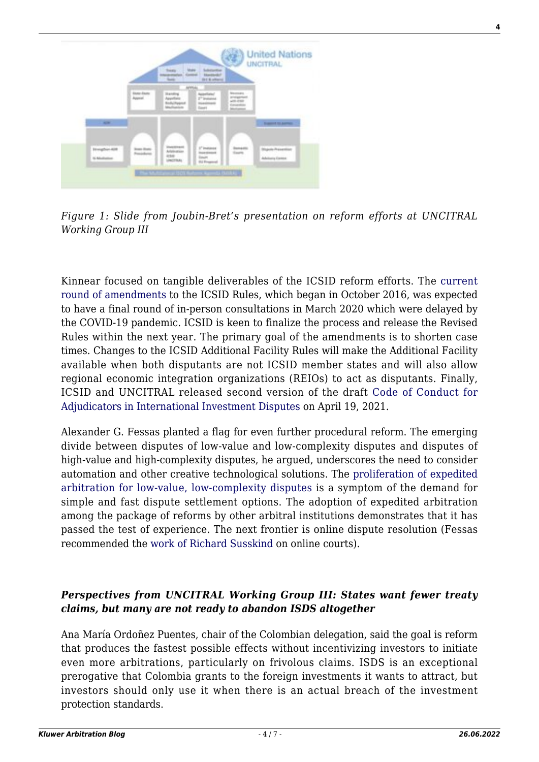

*Figure 1: Slide from Joubin-Bret's presentation on reform efforts at UNCITRAL Working Group III*

Kinnear focused on tangible deliverables of the ICSID reform efforts. The [current](https://icsid.worldbank.org/resources/rules-and-regulations/amendments/about) [round of amendments](https://icsid.worldbank.org/resources/rules-and-regulations/amendments/about) to the ICSID Rules, which began in October 2016, was expected to have a final round of in-person consultations in March 2020 which were delayed by the COVID-19 pandemic. ICSID is keen to finalize the process and release the Revised Rules within the next year. The primary goal of the amendments is to shorten case times. Changes to the ICSID Additional Facility Rules will make the Additional Facility available when both disputants are not ICSID member states and will also allow regional economic integration organizations (REIOs) to act as disputants. Finally, ICSID and UNCITRAL released second version of the draft [Code of Conduct for](https://icsid.worldbank.org/resources/code-of-conduct) [Adjudicators in International Investment Disputes](https://icsid.worldbank.org/resources/code-of-conduct) on April 19, 2021.

Alexander G. Fessas planted a flag for even further procedural reform. The emerging divide between disputes of low-value and low-complexity disputes and disputes of high-value and high-complexity disputes, he argued, underscores the need to consider automation and other creative technological solutions. The [proliferation of expedited](http://arbitrationblog.kluwerarbitration.com/2020/09/20/uncitral-working-group-ii-procedural-tradeoffs-to-reach-efficiency-in-expedited-arbitration-and-why-financial-threshold-should-not-be-the-only-triggering-factor/) [arbitration for low-value, low-complexity disputes](http://arbitrationblog.kluwerarbitration.com/2020/09/20/uncitral-working-group-ii-procedural-tradeoffs-to-reach-efficiency-in-expedited-arbitration-and-why-financial-threshold-should-not-be-the-only-triggering-factor/) is a symptom of the demand for simple and fast dispute settlement options. The adoption of expedited arbitration among the package of reforms by other arbitral institutions demonstrates that it has passed the test of experience. The next frontier is online dispute resolution (Fessas recommended the [work of Richard Susskind](https://global.oup.com/academic/product/online-courts-and-the-future-of-justice-9780198838364?cc=us&lang=en&) on online courts).

#### *Perspectives from UNCITRAL Working Group III: States want fewer treaty claims, but many are not ready to abandon ISDS altogether*

Ana María Ordoñez Puentes, chair of the Colombian delegation, said the goal is reform that produces the fastest possible effects without incentivizing investors to initiate even more arbitrations, particularly on frivolous claims. ISDS is an exceptional prerogative that Colombia grants to the foreign investments it wants to attract, but investors should only use it when there is an actual breach of the investment protection standards.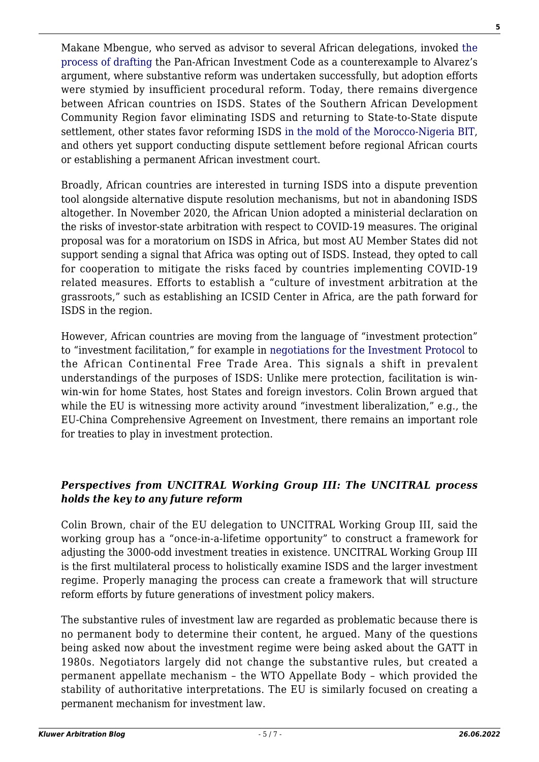Makane Mbengue, who served as advisor to several African delegations, invoked [the](http://arbitrationblog.kluwerarbitration.com/2018/08/17/africanisation-rule-making-international-investment-arbitration/) [process of drafting](http://arbitrationblog.kluwerarbitration.com/2018/08/17/africanisation-rule-making-international-investment-arbitration/) the Pan-African Investment Code as a counterexample to Alvarez's argument, where substantive reform was undertaken successfully, but adoption efforts were stymied by insufficient procedural reform. Today, there remains divergence between African countries on ISDS. States of the Southern African Development Community Region favor eliminating ISDS and returning to State-to-State dispute settlement, other states favor reforming ISDS [in the mold of the Morocco-Nigeria BIT](http://arbitrationblog.kluwerarbitration.com/2018/08/01/human-rights-based-claims-by-states-and-new-generation-international-investment-agreements/), and others yet support conducting dispute settlement before regional African courts or establishing a permanent African investment court.

Broadly, African countries are interested in turning ISDS into a dispute prevention tool alongside alternative dispute resolution mechanisms, but not in abandoning ISDS altogether. In November 2020, the African Union adopted a ministerial declaration on the risks of investor-state arbitration with respect to COVID-19 measures. The original proposal was for a moratorium on ISDS in Africa, but most AU Member States did not support sending a signal that Africa was opting out of ISDS. Instead, they opted to call for cooperation to mitigate the risks faced by countries implementing COVID-19 related measures. Efforts to establish a "culture of investment arbitration at the grassroots," such as establishing an ICSID Center in Africa, are the path forward for ISDS in the region.

However, African countries are moving from the language of "investment protection" to "investment facilitation," for example in [negotiations for the Investment Protocol](http://arbitrationblog.kluwerarbitration.com/2021/02/07/afcfta-the-future-investment-protocol-and-the-phasing-out-of-intra-african-bits/) to the African Continental Free Trade Area. This signals a shift in prevalent understandings of the purposes of ISDS: Unlike mere protection, facilitation is winwin-win for home States, host States and foreign investors. Colin Brown argued that while the EU is witnessing more activity around "investment liberalization," e.g., the EU-China Comprehensive Agreement on Investment, there remains an important role for treaties to play in investment protection.

## *Perspectives from UNCITRAL Working Group III: The UNCITRAL process holds the key to any future reform*

Colin Brown, chair of the EU delegation to UNCITRAL Working Group III, said the working group has a "once-in-a-lifetime opportunity" to construct a framework for adjusting the 3000-odd investment treaties in existence. UNCITRAL Working Group III is the first multilateral process to holistically examine ISDS and the larger investment regime. Properly managing the process can create a framework that will structure reform efforts by future generations of investment policy makers.

The substantive rules of investment law are regarded as problematic because there is no permanent body to determine their content, he argued. Many of the questions being asked now about the investment regime were being asked about the GATT in 1980s. Negotiators largely did not change the substantive rules, but created a permanent appellate mechanism – the WTO Appellate Body – which provided the stability of authoritative interpretations. The EU is similarly focused on creating a permanent mechanism for investment law.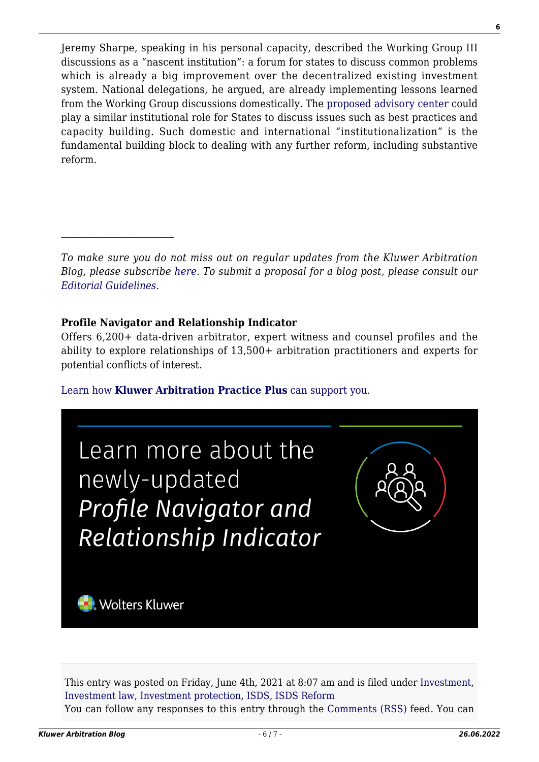Jeremy Sharpe, speaking in his personal capacity, described the Working Group III discussions as a "nascent institution": a forum for states to discuss common problems which is already a big improvement over the decentralized existing investment system. National delegations, he argued, are already implementing lessons learned from the Working Group discussions domestically. The [proposed advisory center](http://arbitrationblog.kluwerarbitration.com/2019/08/30/proposals-at-the-uncitral-working-group-iii-for-the-establishment-of-an-advisory-centre-a-possible-path-to-isds-reform/) could play a similar institutional role for States to discuss issues such as best practices and capacity building. Such domestic and international "institutionalization" is the fundamental building block to dealing with any further reform, including substantive reform.

*To make sure you do not miss out on regular updates from the Kluwer Arbitration Blog, please subscribe [here](http://arbitrationblog.kluwerarbitration.com/newsletter/). To submit a proposal for a blog post, please consult our [Editorial Guidelines.](http://arbitrationblog.kluwerarbitration.com/editorial-guidelines/)*

#### **Profile Navigator and Relationship Indicator**

Offers 6,200+ data-driven arbitrator, expert witness and counsel profiles and the ability to explore relationships of 13,500+ arbitration practitioners and experts for potential conflicts of interest.

[Learn how](https://www.wolterskluwer.com/en/solutions/kluwerarbitration/practiceplus?utm_source=arbitrationblog&utm_medium=articleCTA&utm_campaign=article-banner) **[Kluwer Arbitration Practice Plus](https://www.wolterskluwer.com/en/solutions/kluwerarbitration/practiceplus?utm_source=arbitrationblog&utm_medium=articleCTA&utm_campaign=article-banner)** [can support you.](https://www.wolterskluwer.com/en/solutions/kluwerarbitration/practiceplus?utm_source=arbitrationblog&utm_medium=articleCTA&utm_campaign=article-banner)



This entry was posted on Friday, June 4th, 2021 at 8:07 am and is filed under [Investment,](http://arbitrationblog.kluwerarbitration.com/category/investment/) [Investment law,](http://arbitrationblog.kluwerarbitration.com/category/investment-law/) [Investment protection](http://arbitrationblog.kluwerarbitration.com/category/investment-protection/), [ISDS,](http://arbitrationblog.kluwerarbitration.com/category/isds/) [ISDS Reform](http://arbitrationblog.kluwerarbitration.com/category/isds-reform/) You can follow any responses to this entry through the [Comments \(RSS\)](http://arbitrationblog.kluwerarbitration.com/comments/feed/) feed. You can